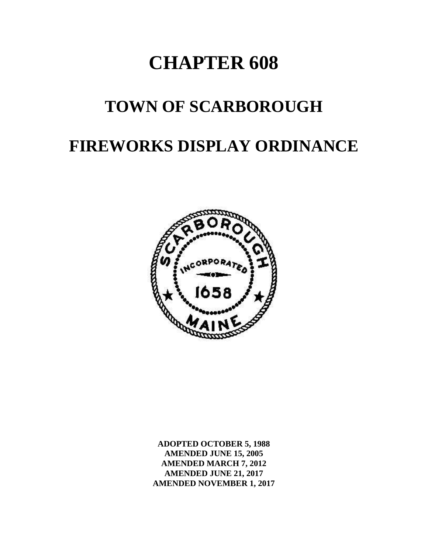# **CHAPTER 608**

# **TOWN OF SCARBOROUGH**

# **FIREWORKS DISPLAY ORDINANCE**



**ADOPTED OCTOBER 5, 1988 AMENDED JUNE 15, 2005 AMENDED MARCH 7, 2012 AMENDED JUNE 21, 2017 AMENDED NOVEMBER 1, 2017**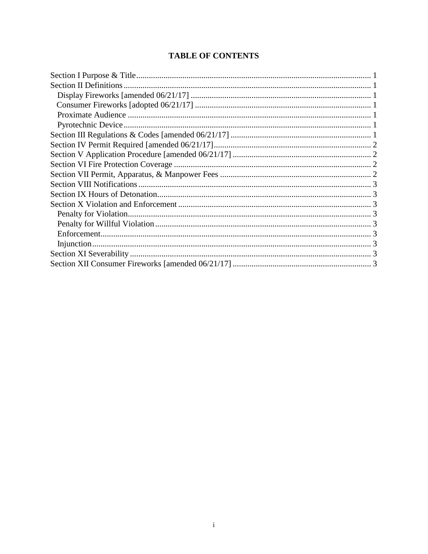# **TABLE OF CONTENTS**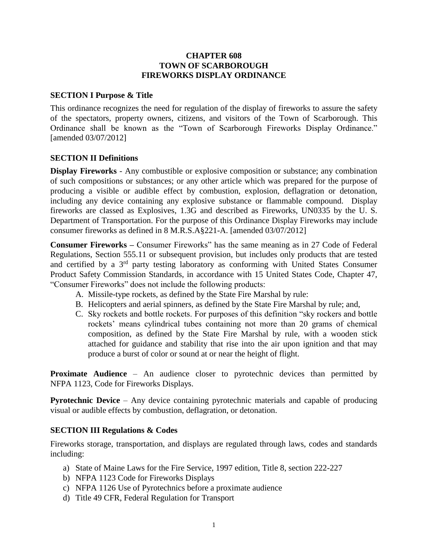#### <span id="page-2-0"></span>**CHAPTER 608 TOWN OF SCARBOROUGH FIREWORKS DISPLAY ORDINANCE**

#### **SECTION I Purpose & Title**

This ordinance recognizes the need for regulation of the display of fireworks to assure the safety of the spectators, property owners, citizens, and visitors of the Town of Scarborough. This Ordinance shall be known as the "Town of Scarborough Fireworks Display Ordinance." [amended 03/07/2012]

#### <span id="page-2-1"></span>**SECTION II Definitions**

<span id="page-2-2"></span>**Display Fireworks** - Any combustible or explosive composition or substance; any combination of such compositions or substances; or any other article which was prepared for the purpose of producing a visible or audible effect by combustion, explosion, deflagration or detonation, including any device containing any explosive substance or flammable compound. Display fireworks are classed as Explosives, 1.3G and described as Fireworks, UN0335 by the U. S. Department of Transportation. For the purpose of this Ordinance Display Fireworks may include consumer fireworks as defined in 8 M.R.S.A§221-A. [amended 03/07/2012]

**Consumer Fireworks –** Consumer Fireworks" has the same meaning as in 27 Code of Federal Regulations, Section 555.11 or subsequent provision, but includes only products that are tested and certified by a 3rd party testing laboratory as conforming with United States Consumer Product Safety Commission Standards, in accordance with 15 United States Code, Chapter 47, "Consumer Fireworks" does not include the following products:

- A. Missile-type rockets, as defined by the State Fire Marshal by rule:
- B. Helicopters and aerial spinners, as defined by the State Fire Marshal by rule; and,
- <span id="page-2-3"></span>C. Sky rockets and bottle rockets. For purposes of this definition "sky rockers and bottle rockets' means cylindrical tubes containing not more than 20 grams of chemical composition, as defined by the State Fire Marshal by rule, with a wooden stick attached for guidance and stability that rise into the air upon ignition and that may produce a burst of color or sound at or near the height of flight.

**Proximate Audience** – An audience closer to pyrotechnic devices than permitted by NFPA 1123, Code for Fireworks Displays.

<span id="page-2-4"></span>**Pyrotechnic Device** – Any device containing pyrotechnic materials and capable of producing visual or audible effects by combustion, deflagration, or detonation.

#### **SECTION III Regulations & Codes**

Fireworks storage, transportation, and displays are regulated through laws, codes and standards including:

- <span id="page-2-5"></span>a) State of Maine Laws for the Fire Service, 1997 edition, Title 8, section 222-227
- b) NFPA 1123 Code for Fireworks Displays
- c) NFPA 1126 Use of Pyrotechnics before a proximate audience
- d) Title 49 CFR, Federal Regulation for Transport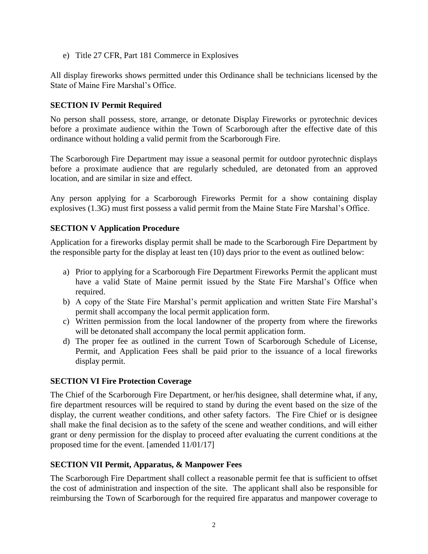<span id="page-3-0"></span>e) Title 27 CFR, Part 181 Commerce in Explosives

All display fireworks shows permitted under this Ordinance shall be technicians licensed by the State of Maine Fire Marshal's Office.

# **SECTION IV Permit Required**

No person shall possess, store, arrange, or detonate Display Fireworks or pyrotechnic devices before a proximate audience within the Town of Scarborough after the effective date of this ordinance without holding a valid permit from the Scarborough Fire.

The Scarborough Fire Department may issue a seasonal permit for outdoor pyrotechnic displays before a proximate audience that are regularly scheduled, are detonated from an approved location, and are similar in size and effect.

Any person applying for a Scarborough Fireworks Permit for a show containing display explosives (1.3G) must first possess a valid permit from the Maine State Fire Marshal's Office.

#### **SECTION V Application Procedure**

Application for a fireworks display permit shall be made to the Scarborough Fire Department by the responsible party for the display at least ten (10) days prior to the event as outlined below:

- <span id="page-3-1"></span>a) Prior to applying for a Scarborough Fire Department Fireworks Permit the applicant must have a valid State of Maine permit issued by the State Fire Marshal's Office when required.
- b) A copy of the State Fire Marshal's permit application and written State Fire Marshal's permit shall accompany the local permit application form.
- c) Written permission from the local landowner of the property from where the fireworks will be detonated shall accompany the local permit application form.
- <span id="page-3-2"></span>d) The proper fee as outlined in the current Town of Scarborough Schedule of License, Permit, and Application Fees shall be paid prior to the issuance of a local fireworks display permit.

#### **SECTION VI Fire Protection Coverage**

The Chief of the Scarborough Fire Department, or her/his designee, shall determine what, if any, fire department resources will be required to stand by during the event based on the size of the display, the current weather conditions, and other safety factors. The Fire Chief or is designee shall make the final decision as to the safety of the scene and weather conditions, and will either grant or deny permission for the display to proceed after evaluating the current conditions at the proposed time for the event. [amended 11/01/17]

#### <span id="page-3-3"></span>**SECTION VII Permit, Apparatus, & Manpower Fees**

The Scarborough Fire Department shall collect a reasonable permit fee that is sufficient to offset the cost of administration and inspection of the site. The applicant shall also be responsible for reimbursing the Town of Scarborough for the required fire apparatus and manpower coverage to